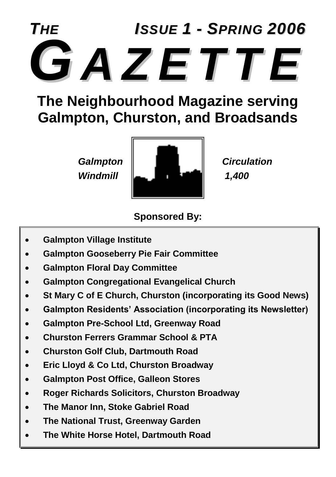# *THE ISSUE 1 - SPRING 2006 GA Z E T T E*

## **The Neighbourhood Magazine serving Galmpton, Churston, and Broadsands**



### **Sponsored By:**

- **Galmpton Village Institute**
- **Galmpton Gooseberry Pie Fair Committee**
- **Galmpton Floral Day Committee**
- **Galmpton Congregational Evangelical Church**
- **St Mary C of E Church, Churston (incorporating its Good News)**
- **Galmpton Residents' Association (incorporating its Newsletter)**
- **Galmpton Pre-School Ltd, Greenway Road**
- **Churston Ferrers Grammar School & PTA**
- **Churston Golf Club, Dartmouth Road**
- **Eric Lloyd & Co Ltd, Churston Broadway**
- **Galmpton Post Office, Galleon Stores**
- **Roger Richards Solicitors, Churston Broadway**
- **The Manor Inn, Stoke Gabriel Road**
- **The National Trust, Greenway Garden**
- **The White Horse Hotel, Dartmouth Road**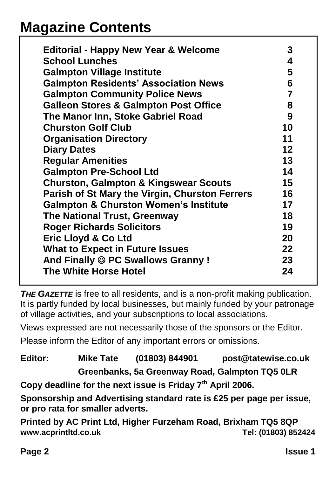## **Magazine Contents**

| <b>Editorial - Happy New Year &amp; Welcome</b>  | 3              |
|--------------------------------------------------|----------------|
| <b>School Lunches</b>                            | 4              |
| <b>Galmpton Village Institute</b>                | 5              |
| <b>Galmpton Residents' Association News</b>      | 6              |
| <b>Galmpton Community Police News</b>            | $\overline{7}$ |
| <b>Galleon Stores &amp; Galmpton Post Office</b> | 8              |
| The Manor Inn, Stoke Gabriel Road                | 9              |
| <b>Churston Golf Club</b>                        | 10             |
| <b>Organisation Directory</b>                    | 11             |
| <b>Diary Dates</b>                               | $12 \,$        |
| <b>Regular Amenities</b>                         | 13             |
| <b>Galmpton Pre-School Ltd</b>                   | 14             |
| <b>Churston, Galmpton &amp; Kingswear Scouts</b> | 15             |
| Parish of St Mary the Virgin, Churston Ferrers   | 16             |
| <b>Galmpton &amp; Churston Women's Institute</b> | 17             |
| <b>The National Trust, Greenway</b>              | 18             |
| <b>Roger Richards Solicitors</b>                 | 19             |
| Eric Lloyd & Co Ltd                              | 20             |
| <b>What to Expect in Future Issues</b>           | 22             |
| And Finally © PC Swallows Granny!                | 23             |
| <b>The White Horse Hotel</b>                     | 24             |
|                                                  |                |

*THE GAZETTE* is free to all residents, and is a non-profit making publication. It is partly funded by local businesses, but mainly funded by your patronage of village activities, and your subscriptions to local associations.

Views expressed are not necessarily those of the sponsors or the Editor.

Please inform the Editor of any important errors or omissions.

**Editor: Mike Tate (01803) 844901 post@tatewise.co.uk Greenbanks, 5a Greenway Road, Galmpton TQ5 0LR**

**Copy deadline for the next issue is Friday 7th April 2006.**

**Sponsorship and Advertising standard rate is £25 per page per issue, or pro rata for smaller adverts.**

**Printed by AC Print Ltd, Higher Furzeham Road, Brixham TQ5 8QP www.acprintltd.co.uk Tel: (01803) 852424**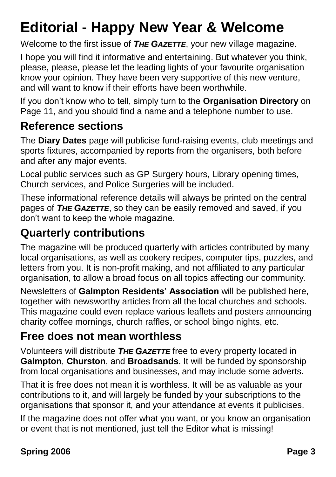## **Editorial - Happy New Year & Welcome**

Welcome to the first issue of *THE GAZETTE*, your new village magazine.

I hope you will find it informative and entertaining. But whatever you think, please, please, please let the leading lights of your favourite organisation know your opinion. They have been very supportive of this new venture, and will want to know if their efforts have been worthwhile.

If you don't know who to tell, simply turn to the **Organisation Directory** on Page 11, and you should find a name and a telephone number to use.

## **Reference sections**

The **Diary Dates** page will publicise fund-raising events, club meetings and sports fixtures, accompanied by reports from the organisers, both before and after any major events.

Local public services such as GP Surgery hours, Library opening times, Church services, and Police Surgeries will be included.

These informational reference details will always be printed on the central pages of *THE GAZETTE*, so they can be easily removed and saved, if you don't want to keep the whole magazine.

## **Quarterly contributions**

The magazine will be produced quarterly with articles contributed by many local organisations, as well as cookery recipes, computer tips, puzzles, and letters from you. It is non-profit making, and not affiliated to any particular organisation, to allow a broad focus on all topics affecting our community.

Newsletters of **Galmpton Residents' Association** will be published here, together with newsworthy articles from all the local churches and schools. This magazine could even replace various leaflets and posters announcing charity coffee mornings, church raffles, or school bingo nights, etc.

## **Free does not mean worthless**

Volunteers will distribute *THE GAZETTE* free to every property located in **Galmpton**, **Churston**, and **Broadsands**. It will be funded by sponsorship from local organisations and businesses, and may include some adverts.

That it is free does not mean it is worthless. It will be as valuable as your contributions to it, and will largely be funded by your subscriptions to the organisations that sponsor it, and your attendance at events it publicises.

If the magazine does not offer what you want, or you know an organisation or event that is not mentioned, just tell the Editor what is missing!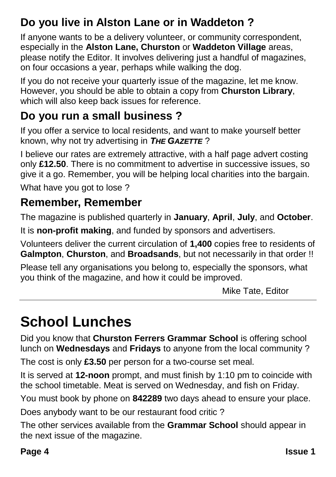## **Do you live in Alston Lane or in Waddeton ?**

If anyone wants to be a delivery volunteer, or community correspondent, especially in the **Alston Lane, Churston** or **Waddeton Village** areas, please notify the Editor. It involves delivering just a handful of magazines, on four occasions a year, perhaps while walking the dog.

If you do not receive your quarterly issue of the magazine, let me know. However, you should be able to obtain a copy from **Churston Library**, which will also keep back issues for reference.

## **Do you run a small business ?**

If you offer a service to local residents, and want to make yourself better known, why not try advertising in *THE GAZETTE* ?

I believe our rates are extremely attractive, with a half page advert costing only **£12.50**. There is no commitment to advertise in successive issues, so give it a go. Remember, you will be helping local charities into the bargain.

What have you got to lose?

## **Remember, Remember**

The magazine is published quarterly in **January**, **April**, **July**, and **October**.

It is **non-profit making**, and funded by sponsors and advertisers.

Volunteers deliver the current circulation of **1,400** copies free to residents of **Galmpton**, **Churston**, and **Broadsands**, but not necessarily in that order !!

Please tell any organisations you belong to, especially the sponsors, what you think of the magazine, and how it could be improved.

Mike Tate, Editor

## **School Lunches**

Did you know that **Churston Ferrers Grammar School** is offering school lunch on **Wednesdays** and **Fridays** to anyone from the local community ?

The cost is only **£3.50** per person for a two-course set meal.

It is served at **12-noon** prompt, and must finish by 1:10 pm to coincide with the school timetable. Meat is served on Wednesday, and fish on Friday.

You must book by phone on **842289** two days ahead to ensure your place.

Does anybody want to be our restaurant food critic ?

The other services available from the **Grammar School** should appear in the next issue of the magazine.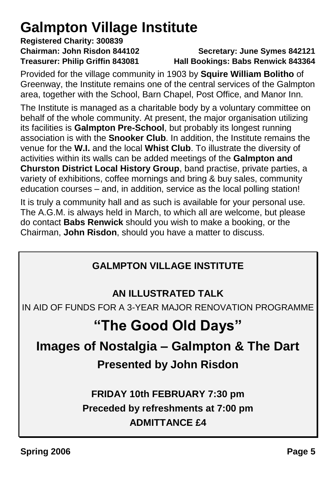## **Galmpton Village Institute**

# **Registered Charity: 300839**

#### **Chairman: John Risdon 844102 Secretary: June Symes 842121 Treasurer: Philip Griffin 843081 Hall Bookings: Babs Renwick 843364**

Provided for the village community in 1903 by **Squire William Bolitho** of Greenway, the Institute remains one of the central services of the Galmpton area, together with the School, Barn Chapel, Post Office, and Manor Inn.

The Institute is managed as a charitable body by a voluntary committee on behalf of the whole community. At present, the major organisation utilizing its facilities is **Galmpton Pre-School**, but probably its longest running association is with the **Snooker Club**. In addition, the Institute remains the venue for the **W.I.** and the local **Whist Club**. To illustrate the diversity of activities within its walls can be added meetings of the **Galmpton and Churston District Local History Group**, band practise, private parties, a variety of exhibitions, coffee mornings and bring & buy sales, community education courses – and, in addition, service as the local polling station!

It is truly a community hall and as such is available for your personal use. The A.G.M. is always held in March, to which all are welcome, but please do contact **Babs Renwick** should you wish to make a booking, or the Chairman, **John Risdon**, should you have a matter to discuss.

### **GALMPTON VILLAGE INSTITUTE**

#### **AN ILLUSTRATED TALK**

IN AID OF FUNDS FOR A 3-YEAR MAJOR RENOVATION PROGRAMME

## **"The Good Old Days"**

## **Images of Nostalgia – Galmpton & The Dart**

## **Presented by John Risdon**

## **FRIDAY 10th FEBRUARY 7:30 pm Preceded by refreshments at 7:00 pm ADMITTANCE £4**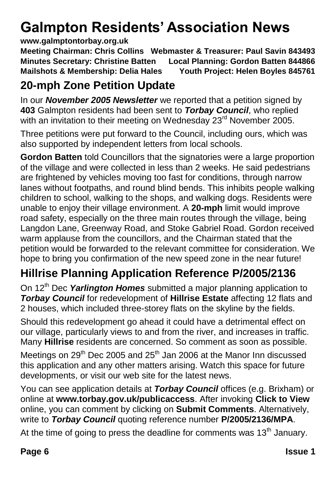## **Galmpton Residents' Association News**

#### **www.galmptontorbay.org.uk**

**Meeting Chairman: Chris Collins Webmaster & Treasurer: Paul Savin 843493 Minutes Secretary: Christine Batten Local Planning: Gordon Batten 844866 Mailshots & Membership: Delia Hales Youth Project: Helen Boyles 845761**

## **20-mph Zone Petition Update**

In our *November 2005 Newsletter* we reported that a petition signed by **403** Galmpton residents had been sent to *Torbay Council*, who replied with an invitation to their meeting on Wednesday 23<sup>rd</sup> November 2005.

Three petitions were put forward to the Council, including ours, which was also supported by independent letters from local schools.

**Gordon Batten** told Councillors that the signatories were a large proportion of the village and were collected in less than 2 weeks. He said pedestrians are frightened by vehicles moving too fast for conditions, through narrow lanes without footpaths, and round blind bends. This inhibits people walking children to school, walking to the shops, and walking dogs. Residents were unable to enjoy their village environment. A **20-mph** limit would improve road safety, especially on the three main routes through the village, being Langdon Lane, Greenway Road, and Stoke Gabriel Road. Gordon received warm applause from the councillors, and the Chairman stated that the petition would be forwarded to the relevant committee for consideration. We hope to bring you confirmation of the new speed zone in the near future!

## **Hillrise Planning Application Reference P/2005/2136**

On 12<sup>th</sup> Dec *Yarlington Homes* submitted a major planning application to *Torbay Council* for redevelopment of **Hillrise Estate** affecting 12 flats and 2 houses, which included three-storey flats on the skyline by the fields.

Should this redevelopment go ahead it could have a detrimental effect on our village, particularly views to and from the river, and increases in traffic. Many **Hillrise** residents are concerned. So comment as soon as possible.

Meetings on  $29<sup>th</sup>$  Dec 2005 and  $25<sup>th</sup>$  Jan 2006 at the Manor Inn discussed this application and any other matters arising. Watch this space for future developments, or visit our web site for the latest news.

You can see application details at *Torbay Council* offices (e.g. Brixham) or online at **www.torbay.gov.uk/publicaccess**. After invoking **Click to View** online, you can comment by clicking on **Submit Comments**. Alternatively, write to *Torbay Council* quoting reference number **P/2005/2136/MPA**.

At the time of going to press the deadline for comments was  $13<sup>th</sup>$  January.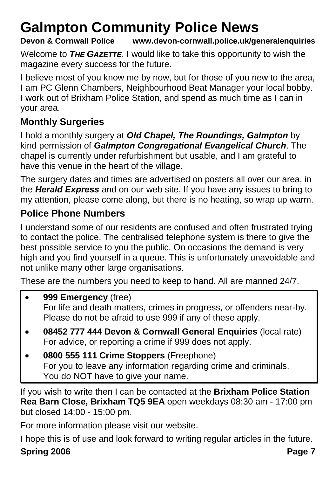## **Galmpton Community Police News**

#### **Devon & Cornwall Police www.devon-cornwall.police.uk/generalenquiries**

Welcome to *THE GAZETTE*. I would like to take this opportunity to wish the magazine every success for the future.

I believe most of you know me by now, but for those of you new to the area, I am PC Glenn Chambers, Neighbourhood Beat Manager your local bobby. I work out of Brixham Police Station, and spend as much time as I can in your area.

#### **Monthly Surgeries**

I hold a monthly surgery at *Old Chapel, The Roundings, Galmpton* by kind permission of *Galmpton Congregational Evangelical Church*. The chapel is currently under refurbishment but usable, and I am grateful to have this venue in the heart of the village.

The surgery dates and times are advertised on posters all over our area, in the *Herald Express* and on our web site. If you have any issues to bring to my attention, please come along, but there is no heating, so wrap up warm.

#### **Police Phone Numbers**

I understand some of our residents are confused and often frustrated trying to contact the police. The centralised telephone system is there to give the best possible service to you the public. On occasions the demand is very high and you find yourself in a queue. This is unfortunately unavoidable and not unlike many other large organisations.

These are the numbers you need to keep to hand. All are manned 24/7.

- **999 Emergency** (free) For life and death matters, crimes in progress, or offenders near-by. Please do not be afraid to use 999 if any of these apply.
- **08452 777 444 Devon & Cornwall General Enquiries** (local rate) For advice, or reporting a crime if 999 does not apply.
- **0800 555 111 Crime Stoppers** (Freephone) For you to leave any information regarding crime and criminals. You do NOT have to give your name.

If you wish to write then I can be contacted at the **Brixham Police Station Rea Barn Close, Brixham TQ5 9EA** open weekdays 08:30 am - 17:00 pm but closed 14:00 - 15:00 pm.

For more information please visit our website.

I hope this is of use and look forward to writing regular articles in the future.

#### **Spring 2006 Page 7**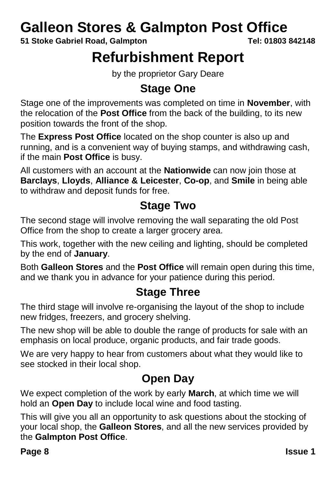## **Galleon Stores & Galmpton Post Office**

**51 Stoke Gabriel Road, Galmpton Tel: 01803 842148**

## **Refurbishment Report**

by the proprietor Gary Deare

## **Stage One**

Stage one of the improvements was completed on time in **November**, with the relocation of the **Post Office** from the back of the building, to its new position towards the front of the shop.

The **Express Post Office** located on the shop counter is also up and running, and is a convenient way of buying stamps, and withdrawing cash, if the main **Post Office** is busy.

All customers with an account at the **Nationwide** can now join those at **Barclays**, **Lloyds**, **Alliance & Leicester**, **Co-op**, and **Smile** in being able to withdraw and deposit funds for free.

## **Stage Two**

The second stage will involve removing the wall separating the old Post Office from the shop to create a larger grocery area.

This work, together with the new ceiling and lighting, should be completed by the end of **January**.

Both **Galleon Stores** and the **Post Office** will remain open during this time, and we thank you in advance for your patience during this period.

## **Stage Three**

The third stage will involve re-organising the layout of the shop to include new fridges, freezers, and grocery shelving.

The new shop will be able to double the range of products for sale with an emphasis on local produce, organic products, and fair trade goods.

We are very happy to hear from customers about what they would like to see stocked in their local shop.

## **Open Day**

We expect completion of the work by early **March**, at which time we will hold an **Open Day** to include local wine and food tasting.

This will give you all an opportunity to ask questions about the stocking of your local shop, the **Galleon Stores**, and all the new services provided by the **Galmpton Post Office**.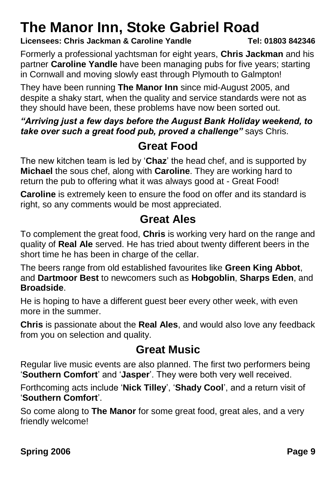## **The Manor Inn, Stoke Gabriel Road**

**Licensees: Chris Jackman & Caroline Yandle Tel: 01803 842346**

Formerly a professional yachtsman for eight years, **Chris Jackman** and his partner **Caroline Yandle** have been managing pubs for five years; starting in Cornwall and moving slowly east through Plymouth to Galmpton!

They have been running **The Manor Inn** since mid-August 2005, and despite a shaky start, when the quality and service standards were not as they should have been, these problems have now been sorted out.

#### *"Arriving just a few days before the August Bank Holiday weekend, to take over such a great food pub, proved a challenge"* says Chris.

## **Great Food**

The new kitchen team is led by '**Chaz**' the head chef, and is supported by **Michael** the sous chef, along with **Caroline**. They are working hard to return the pub to offering what it was always good at - Great Food!

**Caroline** is extremely keen to ensure the food on offer and its standard is right, so any comments would be most appreciated.

## **Great Ales**

To complement the great food, **Chris** is working very hard on the range and quality of **Real Ale** served. He has tried about twenty different beers in the short time he has been in charge of the cellar.

The beers range from old established favourites like **Green King Abbot**, and **Dartmoor Best** to newcomers such as **Hobgoblin**, **Sharps Eden**, and **Broadside**.

He is hoping to have a different guest beer every other week, with even more in the summer.

**Chris** is passionate about the **Real Ales**, and would also love any feedback from you on selection and quality.

## **Great Music**

Regular live music events are also planned. The first two performers being '**Southern Comfort**' and '**Jasper**'. They were both very well received.

Forthcoming acts include '**Nick Tilley**', '**Shady Cool**', and a return visit of '**Southern Comfort**'.

So come along to **The Manor** for some great food, great ales, and a very friendly welcome!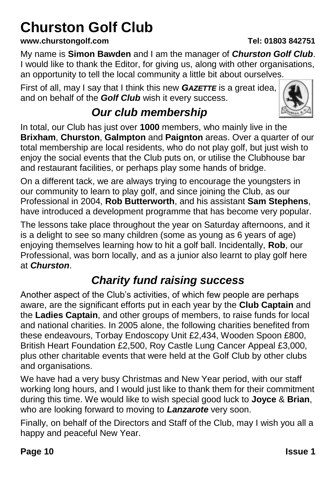## **Churston Golf Club**

#### **www.churstongolf.com Tel: 01803 842751**

My name is **Simon Bawden** and I am the manager of *Churston Golf Club*. I would like to thank the Editor, for giving us, along with other organisations, an opportunity to tell the local community a little bit about ourselves.

First of all, may I say that I think this new *GAZETTE* is a great idea, and on behalf of the *Golf Club* wish it every success.

## *Our club membership*

In total, our Club has just over **1000** members, who mainly live in the **Brixham**, **Churston**, **Galmpton** and **Paignton** areas. Over a quarter of our total membership are local residents, who do not play golf, but just wish to enjoy the social events that the Club puts on, or utilise the Clubhouse bar and restaurant facilities, or perhaps play some hands of bridge.

On a different tack, we are always trying to encourage the youngsters in our community to learn to play golf, and since joining the Club, as our Professional in 2004, **Rob Butterworth**, and his assistant **Sam Stephens**, have introduced a development programme that has become very popular.

The lessons take place throughout the year on Saturday afternoons, and it is a delight to see so many children (some as young as 6 years of age) enjoying themselves learning how to hit a golf ball. Incidentally, **Rob**, our Professional, was born locally, and as a junior also learnt to play golf here at *Churston*.

## *Charity fund raising success*

Another aspect of the Club's activities, of which few people are perhaps aware, are the significant efforts put in each year by the **Club Captain** and the **Ladies Captain**, and other groups of members, to raise funds for local and national charities. In 2005 alone, the following charities benefited from these endeavours, Torbay Endoscopy Unit £2,434, Wooden Spoon £800, British Heart Foundation £2,500, Roy Castle Lung Cancer Appeal £3,000, plus other charitable events that were held at the Golf Club by other clubs and organisations.

We have had a very busy Christmas and New Year period, with our staff working long hours, and I would just like to thank them for their commitment during this time. We would like to wish special good luck to **Joyce** & **Brian**, who are looking forward to moving to *Lanzarote* very soon.

Finally, on behalf of the Directors and Staff of the Club, may I wish you all a happy and peaceful New Year.

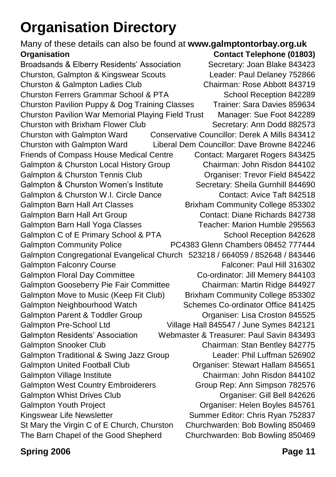## **Organisation Directory**

Many of these details can also be found at **www.galmptontorbay.org.uk Organisation Contact Telephone (01803)** Broadsands & Elberry Residents' Association Secretary: Joan Blake 843423 Churston, Galmpton & Kingswear Scouts Leader: Paul Delaney 752866 Churston & Galmpton Ladies Club Chairman: Rose Abbott 843719 Churston Ferrers Grammar School & PTA School Reception 842289 Churston Pavilion Puppy & Dog Training Classes Trainer: Sara Davies 859634 Churston Pavilion War Memorial Playing Field Trust Manager: Sue Foot 842289 Churston with Brixham Flower Club Secretary: Ann Dodd 882573 Churston with Galmpton Ward Conservative Councillor: Derek A Mills 843412 Churston with Galmpton Ward Liberal Dem Councillor: Dave Browne 842246 Friends of Compass House Medical Centre Contact: Margaret Rogers 843425 Galmpton & Churston Local History Group Chairman: John Risdon 844102 Galmpton & Churston Tennis Club **Changel Container**: Trevor Field 845422 Galmpton & Churston Women's Institute Secretary: Sheila Gurnhill 844690 Galmpton & Churston W.I. Circle Dance Contact: Avice Taft 842518 Galmpton Barn Hall Art Classes **Brixham Community College 853302** Galmpton Barn Hall Art Group Contact: Diane Richards 842738 Galmpton Barn Hall Yoga Classes Teacher: Marion Humble 295563 Galmpton C of E Primary School & PTA School Reception 842628 Galmpton Community Police PC4383 Glenn Chambers 08452 777444 Galmpton Congregational Evangelical Church 523218 / 664059 / 852648 / 843446 Galmpton Falconry Course **Falconer: Paul Hill 316302** Galmpton Floral Day Committee Co-ordinator: Jill Memery 844103 Galmpton Gooseberry Pie Fair Committee Chairman: Martin Ridge 844927 Galmpton Move to Music (Keep Fit Club) Brixham Community College 853302 Galmpton Neighbourhood Watch Schemes Co-ordinator Office 841425 Galmpton Parent & Toddler Group Croston 845525 Galmpton Pre-School Ltd Village Hall 845547 / June Symes 842121 Galmpton Residents' Association Webmaster & Treasurer: Paul Savin 843493 Galmpton Snooker Club Chairman: Stan Bentley 842775 Galmpton Traditional & Swing Jazz Group Leader: Phil Luffman 526902 Galmpton United Football Club **Club Community** Organiser: Stewart Hallam 845651 Galmpton Village Institute Chairman: John Risdon 844102 Galmpton West Country Embroiderers Group Rep: Ann Simpson 782576 Galmpton Whist Drives Club **Calmet Concerned Accord Concerned Accord Concerned Accord Concerned Accord Concerned A** Galmpton Youth Project **Commission Constructs** Organiser: Helen Boyles 845761 Kingswear Life Newsletter Summer Editor: Chris Ryan 752837 St Mary the Virgin C of E Church, Churston Churchwarden: Bob Bowling 850469 The Barn Chapel of the Good Shepherd Churchwarden: Bob Bowling 850469

#### **Spring 2006 Page 11**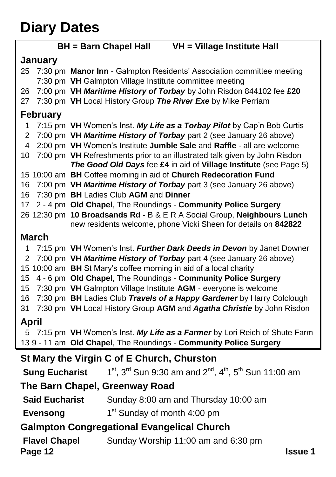## **Diary Dates**

|                                            |                       | VH = Village Institute Hall<br><b>BH</b> = Barn Chapel Hall                     |  |
|--------------------------------------------|-----------------------|---------------------------------------------------------------------------------|--|
|                                            | January               |                                                                                 |  |
| 25                                         |                       | 7:30 pm Manor Inn - Galmpton Residents' Association committee meeting           |  |
|                                            |                       | 7:30 pm VH Galmpton Village Institute committee meeting                         |  |
| 26                                         |                       | 7:00 pm VH Maritime History of Torbay by John Risdon 844102 fee £20             |  |
| 27                                         |                       | 7:30 pm VH Local History Group The River Exe by Mike Perriam                    |  |
|                                            | <b>February</b>       |                                                                                 |  |
| 1                                          |                       | 7:15 pm VH Women's Inst. My Life as a Torbay Pilot by Cap'n Bob Curtis          |  |
| 2                                          |                       | 7:00 pm VH Maritime History of Torbay part 2 (see January 26 above)             |  |
| 4                                          |                       | 2:00 pm VH Women's Institute Jumble Sale and Raffle - all are welcome           |  |
| 10                                         |                       | 7:00 pm VH Refreshments prior to an illustrated talk given by John Risdon       |  |
|                                            |                       | The Good Old Days fee £4 in aid of Village Institute (see Page 5)               |  |
|                                            |                       | 15 10:00 am BH Coffee morning in aid of Church Redecoration Fund                |  |
| 16                                         |                       | 7:00 pm VH Maritime History of Torbay part 3 (see January 26 above)             |  |
| 16                                         |                       | 7:30 pm BH Ladies Club AGM and Dinner                                           |  |
| 17                                         |                       | 2 - 4 pm Old Chapel, The Roundings - Community Police Surgery                   |  |
|                                            |                       | 26 12:30 pm 10 Broadsands Rd - B & E R A Social Group, Neighbours Lunch         |  |
|                                            |                       | new residents welcome, phone Vicki Sheen for details on 842822                  |  |
|                                            | <b>March</b>          |                                                                                 |  |
| 1                                          |                       | 7:15 pm VH Women's Inst. Further Dark Deeds in Devon by Janet Downer            |  |
| 2                                          |                       | 7:00 pm VH Maritime History of Torbay part 4 (see January 26 above)             |  |
|                                            |                       | 15 10:00 am BH St Mary's coffee morning in aid of a local charity               |  |
| 15                                         |                       | 4 - 6 pm Old Chapel, The Roundings - Community Police Surgery                   |  |
| 15                                         |                       | 7:30 pm VH Galmpton Village Institute AGM - everyone is welcome                 |  |
| 16                                         |                       | 7:30 pm BH Ladies Club Travels of a Happy Gardener by Harry Colclough           |  |
| 31                                         |                       | 7:30 pm VH Local History Group AGM and Agatha Christie by John Risdon           |  |
| April                                      |                       |                                                                                 |  |
| 5.                                         |                       | 7:15 pm VH Women's Inst. My Life as a Farmer by Lori Reich of Shute Farm        |  |
|                                            |                       | 139 - 11 am Old Chapel, The Roundings - Community Police Surgery                |  |
| St Mary the Virgin C of E Church, Churston |                       |                                                                                 |  |
|                                            | <b>Sung Eucharist</b> | $1^{st}$ , $3^{rd}$ Sun 9:30 am and $2^{nd}$ , $4^{th}$ , $5^{th}$ Sun 11:00 am |  |
| The Barn Chapel, Greenway Road             |                       |                                                                                 |  |
|                                            | <b>Said Eucharist</b> | Sunday 8:00 am and Thursday 10:00 am                                            |  |
|                                            | <b>Evensong</b>       | 1 <sup>st</sup> Sunday of month 4:00 pm                                         |  |

#### **Galmpton Congregational Evangelical Church**

**Flavel Chapel Sunday Worship 11:00 am and 6:30 pm** 

#### **Page 12 Issue 1**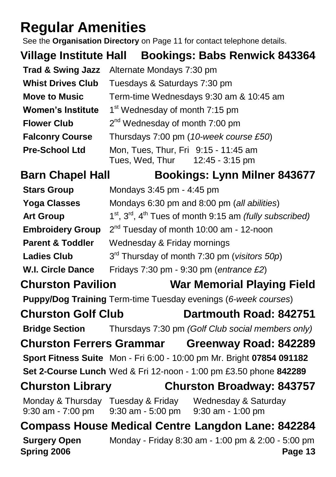## **Regular Amenities**

See the **Organisation Directory** on Page 11 for contact telephone details.

**Village Institute Hall Bookings: Babs Renwick 843364**

|                          | <b>Trad &amp; Swing Jazz</b> Alternate Mondays 7:30 pm                  |  |  |
|--------------------------|-------------------------------------------------------------------------|--|--|
| <b>Whist Drives Club</b> | Tuesdays & Saturdays 7:30 pm                                            |  |  |
| <b>Move to Music</b>     | Term-time Wednesdays 9:30 am & 10:45 am                                 |  |  |
| <b>Women's Institute</b> | 1 <sup>st</sup> Wednesday of month 7:15 pm                              |  |  |
| <b>Flower Club</b>       | $2nd$ Wednesday of month 7:00 pm                                        |  |  |
| <b>Falconry Course</b>   | Thursdays 7:00 pm (10-week course £50)                                  |  |  |
| <b>Pre-School Ltd</b>    | Mon, Tues, Thur, Fri 9:15 - 11:45 am<br>Tues, Wed, Thur 12:45 - 3:15 pm |  |  |

## **Barn Chapel Hall Bookings: Lynn Milner 843677**

| <b>Stars Group</b>                 | Mondays 3:45 pm - 4:45 pm                                                                                        |
|------------------------------------|------------------------------------------------------------------------------------------------------------------|
| <b>Yoga Classes</b>                | Mondays 6:30 pm and 8:00 pm (all abilities)                                                                      |
| <b>Art Group</b>                   | $1st$ , $3rd$ , $4th$ Tues of month 9:15 am <i>(fully subscribed)</i>                                            |
| <b>Embroidery Group</b>            | $2nd$ Tuesday of month 10:00 am - 12-noon                                                                        |
| <b>Parent &amp; Toddler</b>        | Wednesday & Friday mornings                                                                                      |
| <b>Ladies Club</b>                 | 3 <sup>rd</sup> Thursday of month 7:30 pm (visitors 50p)                                                         |
| <b>W.I. Circle Dance</b>           | Fridays 7:30 pm - 9:30 pm (entrance £2)                                                                          |
| <b>Churston Pavilion</b>           | <b>War Memorial Playing Field</b>                                                                                |
|                                    | Puppy/Dog Training Term-time Tuesday evenings (6-week courses)                                                   |
| <b>Churston Golf Club</b>          | Dartmouth Road: 842751                                                                                           |
|                                    | <b>Bridge Section</b> Thursdays 7:30 pm (Golf Club social members only)                                          |
|                                    | <b>Churston Ferrers Grammar Greenway Road: 842289</b>                                                            |
|                                    | Sport Fitness Suite Mon - Fri 6:00 - 10:00 pm Mr. Bright 07854 091182                                            |
|                                    | Set 2-Course Lunch Wed & Fri 12-noon - 1:00 pm £3.50 phone 842289                                                |
| <b>Churston Library</b>            | <b>Churston Broadway: 843757</b>                                                                                 |
|                                    | Monday & Thursday Tuesday & Friday Wednesday & Saturday<br>9:30 am - 7:00 pm 9:30 am - 5:00 pm 9:30 am - 1:00 pm |
|                                    | <b>Compass House Medical Centre Langdon Lane: 842284</b>                                                         |
| <b>Surgery Open</b><br>Spring 2006 | Monday - Friday 8:30 am - 1:00 pm & 2:00 - 5:00 pm<br>Page 13                                                    |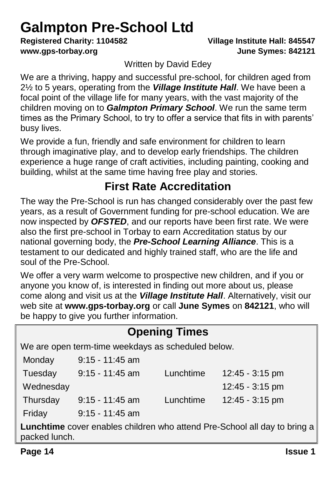## **Galmpton Pre-School Ltd**

**Registered Charity: 1104582 Village Institute Hall: 845547 www.gps-torbay.org June Symes: 842121**

Written by David Edey

We are a thriving, happy and successful pre-school, for children aged from 2½ to 5 years, operating from the *Village Institute Hall*. We have been a focal point of the village life for many years, with the vast majority of the children moving on to *Galmpton Primary School*. We run the same term times as the Primary School, to try to offer a service that fits in with parents' busy lives.

We provide a fun, friendly and safe environment for children to learn through imaginative play, and to develop early friendships. The children experience a huge range of craft activities, including painting, cooking and building, whilst at the same time having free play and stories.

## **First Rate Accreditation**

The way the Pre-School is run has changed considerably over the past few years, as a result of Government funding for pre-school education. We are now inspected by *OFSTED*, and our reports have been first rate. We were also the first pre-school in Torbay to earn Accreditation status by our national governing body, the *Pre-School Learning Alliance*. This is a testament to our dedicated and highly trained staff, who are the life and soul of the Pre-School.

We offer a very warm welcome to prospective new children, and if you or anyone you know of, is interested in finding out more about us, please come along and visit us at the *Village Institute Hall*. Alternatively, visit our web site at **www.gps-torbay.org** or call **June Symes** on **842121**, who will be happy to give you further information.

| <b>Opening Times</b>                                                                              |                   |           |                   |  |  |
|---------------------------------------------------------------------------------------------------|-------------------|-----------|-------------------|--|--|
| We are open term-time weekdays as scheduled below.                                                |                   |           |                   |  |  |
| Monday                                                                                            | $9:15 - 11:45$ am |           |                   |  |  |
| Tuesday                                                                                           | $9:15 - 11:45$ am | Lunchtime | 12:45 - 3:15 pm   |  |  |
| Wednesday                                                                                         |                   |           | 12:45 - 3:15 pm   |  |  |
| Thursday                                                                                          | $9:15 - 11:45$ am | Lunchtime | $12:45 - 3:15$ pm |  |  |
| Friday                                                                                            | $9:15 - 11:45$ am |           |                   |  |  |
| <b>Lunchtime</b> cover enables children who attend Pre-School all day to bring a<br>packed lunch. |                   |           |                   |  |  |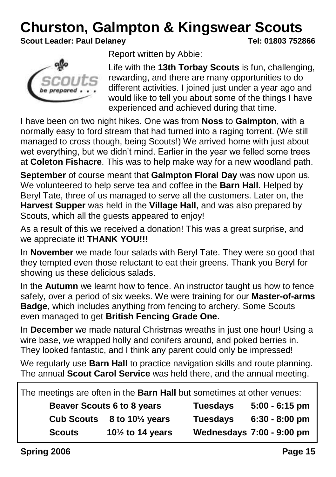## **Churston, Galmpton & Kingswear Scouts**

**Scout Leader: Paul Delaney Tel: 01803 752866**



Report written by Abbie:

Life with the **13th Torbay Scouts** is fun, challenging, rewarding, and there are many opportunities to do different activities. I joined just under a year ago and would like to tell you about some of the things I have experienced and achieved during that time.

I have been on two night hikes. One was from **Noss** to **Galmpton**, with a normally easy to ford stream that had turned into a raging torrent. (We still managed to cross though, being Scouts!) We arrived home with just about wet everything, but we didn't mind. Earlier in the year we felled some trees at **Coleton Fishacre**. This was to help make way for a new woodland path.

**September** of course meant that **Galmpton Floral Day** was now upon us. We volunteered to help serve tea and coffee in the **Barn Hall**. Helped by Beryl Tate, three of us managed to serve all the customers. Later on, the **Harvest Supper** was held in the **Village Hall**, and was also prepared by Scouts, which all the guests appeared to enjoy!

As a result of this we received a donation! This was a great surprise, and we appreciate it! **THANK YOU!!!**

In **November** we made four salads with Beryl Tate. They were so good that they tempted even those reluctant to eat their greens. Thank you Beryl for showing us these delicious salads.

In the **Autumn** we learnt how to fence. An instructor taught us how to fence safely, over a period of six weeks. We were training for our **Master-of-arms Badge**, which includes anything from fencing to archery. Some Scouts even managed to get **British Fencing Grade One**.

In **December** we made natural Christmas wreaths in just one hour! Using a wire base, we wrapped holly and conifers around, and poked berries in. They looked fantastic, and I think any parent could only be impressed!

We regularly use **Barn Hall** to practice navigation skills and route planning. The annual **Scout Carol Service** was held there, and the annual meeting.

| The meetings are often in the Barn Hall but sometimes at other venues: |                                   |                 |                           |
|------------------------------------------------------------------------|-----------------------------------|-----------------|---------------------------|
|                                                                        | <b>Beaver Scouts 6 to 8 years</b> |                 | $5:00 - 6:15$ pm          |
| <b>Cub Scouts</b>                                                      | 8 to 10 $\frac{1}{2}$ years       | <b>Tuesdays</b> | $6:30 - 8:00$ pm          |
| <b>Scouts</b>                                                          | $10\frac{1}{2}$ to 14 years       |                 | Wednesdays 7:00 - 9:00 pm |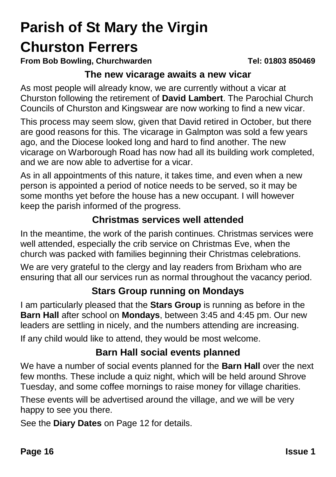## **Parish of St Mary the Virgin Churston Ferrers**

**From Bob Bowling, Churchwarden Tel: 01803 850469**

#### **The new vicarage awaits a new vicar**

As most people will already know, we are currently without a vicar at Churston following the retirement of **David Lambert**. The Parochial Church Councils of Churston and Kingswear are now working to find a new vicar.

This process may seem slow, given that David retired in October, but there are good reasons for this. The vicarage in Galmpton was sold a few years ago, and the Diocese looked long and hard to find another. The new vicarage on Warborough Road has now had all its building work completed, and we are now able to advertise for a vicar.

As in all appointments of this nature, it takes time, and even when a new person is appointed a period of notice needs to be served, so it may be some months yet before the house has a new occupant. I will however keep the parish informed of the progress.

#### **Christmas services well attended**

In the meantime, the work of the parish continues. Christmas services were well attended, especially the crib service on Christmas Eve, when the church was packed with families beginning their Christmas celebrations.

We are very grateful to the clergy and lay readers from Brixham who are ensuring that all our services run as normal throughout the vacancy period.

#### **Stars Group running on Mondays**

I am particularly pleased that the **Stars Group** is running as before in the **Barn Hall** after school on **Mondays**, between 3:45 and 4:45 pm. Our new leaders are settling in nicely, and the numbers attending are increasing.

If any child would like to attend, they would be most welcome.

#### **Barn Hall social events planned**

We have a number of social events planned for the **Barn Hall** over the next few months. These include a quiz night, which will be held around Shrove Tuesday, and some coffee mornings to raise money for village charities.

These events will be advertised around the village, and we will be very happy to see you there.

See the **Diary Dates** on Page 12 for details.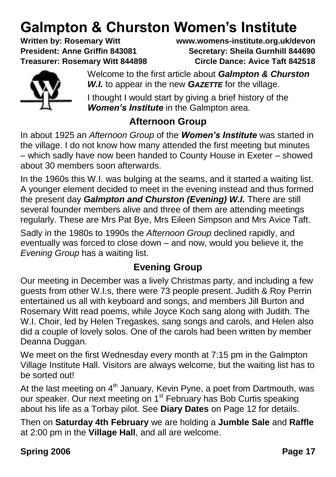# **Galmpton & Churston Women's Institute**<br>Written by: Rosemary Witt Witt Wittewww.womens-institute.org.uk/de

**Written by: Rosemary Witt www.womens-institute.org.uk/devon President: Anne Griffin 843081 Secretary: Sheila Gurnhill 844690 Treasurer: Rosemary Witt 844898 Circle Dance: Avice Taft 842518**



Welcome to the first article about *Galmpton & Churston W.I.* to appear in the new *GAZETTE* for the village.

I thought I would start by giving a brief history of the *Women's Institute* in the Galmpton area.

#### **Afternoon Group**

In about 1925 an *Afternoon Group* of the *Women's Institute* was started in the village. I do not know how many attended the first meeting but minutes – which sadly have now been handed to County House in Exeter – showed about 30 members soon afterwards.

In the 1960s this W.I. was bulging at the seams, and it started a waiting list. A younger element decided to meet in the evening instead and thus formed the present day *Galmpton and Churston (Evening) W.I.* There are still several founder members alive and three of them are attending meetings regularly. These are Mrs Pat Bye, Mrs Eileen Simpson and Mrs Avice Taft.

Sadly in the 1980s to 1990s the *Afternoon Group* declined rapidly, and eventually was forced to close down – and now, would you believe it, the *Evening Group* has a waiting list.

#### **Evening Group**

Our meeting in December was a lively Christmas party, and including a few guests from other W.I.s, there were 73 people present. Judith & Roy Perrin entertained us all with keyboard and songs, and members Jill Burton and Rosemary Witt read poems, while Joyce Koch sang along with Judith. The W.I. Choir, led by Helen Tregaskes, sang songs and carols, and Helen also did a couple of lovely solos. One of the carols had been written by member Deanna Duggan.

We meet on the first Wednesday every month at 7:15 pm in the Galmpton Village Institute Hall. Visitors are always welcome, but the waiting list has to be sorted out!

At the last meeting on  $4<sup>th</sup>$  January, Kevin Pyne, a poet from Dartmouth, was our speaker. Our next meeting on 1<sup>st</sup> February has Bob Curtis speaking about his life as a Torbay pilot. See **Diary Dates** on Page 12 for details.

Then on **Saturday 4th February** we are holding a **Jumble Sale** and **Raffle** at 2:00 pm in the **Village Hall**, and all are welcome.

**Spring 2006 Page 17**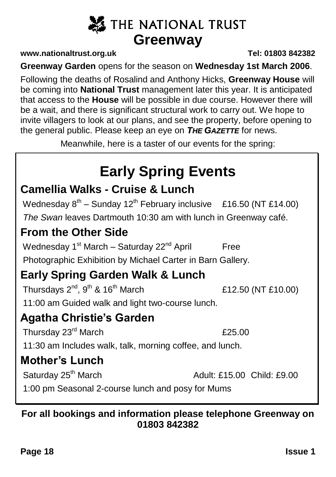## **X** THE NATIONAL TRUST **Greenway**

#### **www.nationaltrust.org.uk Tel: 01803 842382**

**Greenway Garden** opens for the season on **Wednesday 1st March 2006**.

Following the deaths of Rosalind and Anthony Hicks, **Greenway House** will be coming into **National Trust** management later this year. It is anticipated that access to the **House** will be possible in due course. However there will be a wait, and there is significant structural work to carry out. We hope to invite villagers to look at our plans, and see the property, before opening to the general public. Please keep an eye on *THE GAZETTE* for news.

Meanwhile, here is a taster of our events for the spring:

## **Early Spring Events**

## **Camellia Walks - Cruise & Lunch**

Wednesday  $8^{th}$  – Sunday 12<sup>th</sup> February inclusive £16.50 (NT £14.00) *The Swan* leaves Dartmouth 10:30 am with lunch in Greenway café.

## **From the Other Side**

Wednesday  $1^{st}$  March – Saturday  $22^{nd}$  April Free

Photographic Exhibition by Michael Carter in Barn Gallery.

## **Early Spring Garden Walk & Lunch**

Thursdays  $2^{nd}$ ,  $9^{th}$  &  $16^{th}$  March  $£12.50$  (NT £10.00) 11:00 am Guided walk and light two-course lunch.

## **Agatha Christie's Garden**

Thursday 23<sup>rd</sup> March **E25.00** 

11:30 am Includes walk, talk, morning coffee, and lunch.

## **Mother's Lunch**

Saturday 25<sup>th</sup> March Adult: £15.00 Child: £9.00 1:00 pm Seasonal 2-course lunch and posy for Mums

#### **For all bookings and information please telephone Greenway on 01803 842382**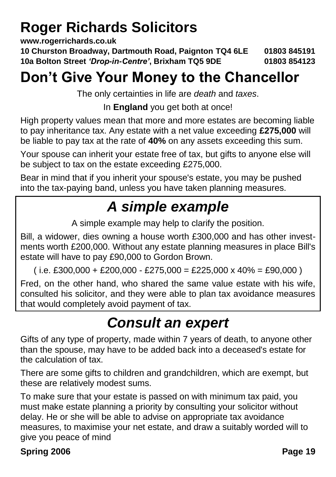## **Roger Richards Solicitors**

**www.rogerrichards.co.uk**

**10 Churston Broadway, Dartmouth Road, Paignton TQ4 6LE 01803 845191 10a Bolton Street** *'Drop-in-Centre'***, Brixham TQ5 9DE 01803 854123**

## **Don't Give Your Money to the Chancellor**

The only certainties in life are *death* and *taxes*.

In **England** you get both at once!

High property values mean that more and more estates are becoming liable to pay inheritance tax. Any estate with a net value exceeding **£275,000** will be liable to pay tax at the rate of **40%** on any assets exceeding this sum.

Your spouse can inherit your estate free of tax, but gifts to anyone else will be subject to tax on the estate exceeding £275,000.

Bear in mind that if you inherit your spouse's estate, you may be pushed into the tax-paying band, unless you have taken planning measures.

## *A simple example*

A simple example may help to clarify the position.

Bill, a widower, dies owning a house worth £300,000 and has other investments worth £200,000. Without any estate planning measures in place Bill's estate will have to pay £90,000 to Gordon Brown.

 $(i.e. £300,000 + £200,000 - £275,000 = £225,000 x 40% = £90,000)$ 

Fred, on the other hand, who shared the same value estate with his wife, consulted his solicitor, and they were able to plan tax avoidance measures that would completely avoid payment of tax.

## *Consult an expert*

Gifts of any type of property, made within 7 years of death, to anyone other than the spouse, may have to be added back into a deceased's estate for the calculation of tax.

There are some gifts to children and grandchildren, which are exempt, but these are relatively modest sums.

To make sure that your estate is passed on with minimum tax paid, you must make estate planning a priority by consulting your solicitor without delay. He or she will be able to advise on appropriate tax avoidance measures, to maximise your net estate, and draw a suitably worded will to give you peace of mind

#### **Spring 2006 Page 19**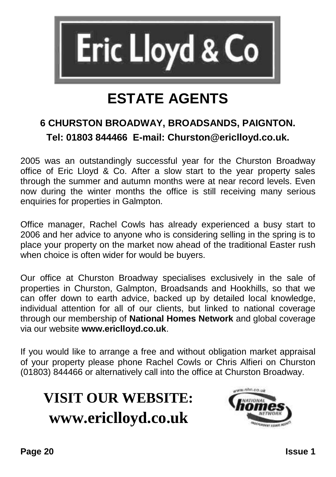

## **ESTATE AGENTS**

## **6 CHURSTON BROADWAY, BROADSANDS, PAIGNTON. Tel: 01803 844466 E-mail: Churston@ericlloyd.co.uk.**

2005 was an outstandingly successful year for the Churston Broadway office of Eric Lloyd & Co. After a slow start to the year property sales through the summer and autumn months were at near record levels. Even now during the winter months the office is still receiving many serious enquiries for properties in Galmpton.

Office manager, Rachel Cowls has already experienced a busy start to 2006 and her advice to anyone who is considering selling in the spring is to place your property on the market now ahead of the traditional Easter rush when choice is often wider for would be buyers.

Our office at Churston Broadway specialises exclusively in the sale of properties in Churston, Galmpton, Broadsands and Hookhills, so that we can offer down to earth advice, backed up by detailed local knowledge, individual attention for all of our clients, but linked to national coverage through our membership of **National Homes Network** and global coverage via our website **www.ericlloyd.co.uk**.

If you would like to arrange a free and without obligation market appraisal of your property please phone Rachel Cowls or Chris Alfieri on Churston (01803) 844466 or alternatively call into the office at Churston Broadway.

## **VISIT OUR WEBSITE: www.ericlloyd.co.uk**

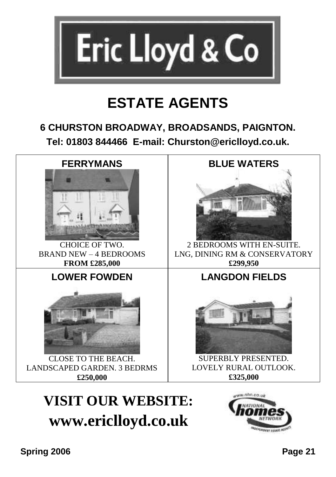

## **ESTATE AGENTS**

### **6 CHURSTON BROADWAY, BROADSANDS, PAIGNTON. Tel: 01803 844466 E-mail: Churston@ericlloyd.co.uk.**



## **VISIT OUR WEBSITE: www.ericlloyd.co.uk**

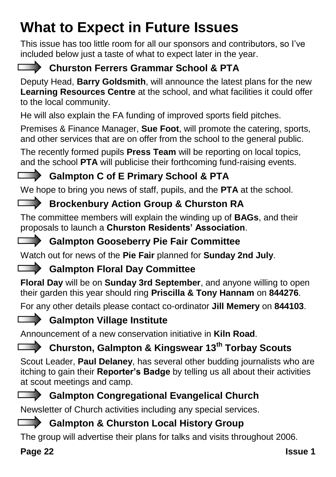## **What to Expect in Future Issues**

This issue has too little room for all our sponsors and contributors, so I've included below just a taste of what to expect later in the year.



## **Churston Ferrers Grammar School & PTA**

Deputy Head, **Barry Goldsmith**, will announce the latest plans for the new **Learning Resources Centre** at the school, and what facilities it could offer to the local community.

He will also explain the FA funding of improved sports field pitches.

Premises & Finance Manager, **Sue Foot**, will promote the catering, sports, and other services that are on offer from the school to the general public.

The recently formed pupils **Press Team** will be reporting on local topics, and the school **PTA** will publicise their forthcoming fund-raising events.

## **Galmpton C of E Primary School & PTA**

We hope to bring you news of staff, pupils, and the **PTA** at the school.

## **Brockenbury Action Group & Churston RA**

The committee members will explain the winding up of **BAGs**, and their proposals to launch a **Churston Residents' Association**.

#### **Galmpton Gooseberry Pie Fair Committee**

Watch out for news of the **Pie Fair** planned for **Sunday 2nd July**.

## **Galmpton Floral Day Committee**

**Floral Day** will be on **Sunday 3rd September**, and anyone willing to open their garden this year should ring **Priscilla & Tony Hannam** on **844276**.

For any other details please contact co-ordinator **Jill Memery** on **844103**.

## **Galmpton Village Institute**

Announcement of a new conservation initiative in **Kiln Road**.

## **Churston, Galmpton & Kingswear 13th Torbay Scouts**

Scout Leader, **Paul Delaney**, has several other budding journalists who are itching to gain their **Reporter's Badge** by telling us all about their activities at scout meetings and camp.

## **Galmpton Congregational Evangelical Church**

Newsletter of Church activities including any special services.

### **Galmpton & Churston Local History Group**

The group will advertise their plans for talks and visits throughout 2006.

### **Page 22 Issue 1**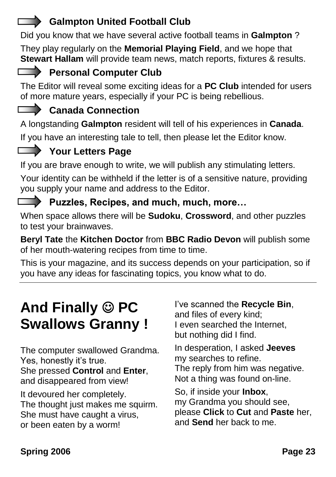## **Galmpton United Football Club**

Did you know that we have several active football teams in **Galmpton** ?

They play regularly on the **Memorial Playing Field**, and we hope that **Stewart Hallam** will provide team news, match reports, fixtures & results.

## **Personal Computer Club**

The Editor will reveal some exciting ideas for a **PC Club** intended for users of more mature years, especially if your PC is being rebellious.

## Canada Connection

A longstanding **Galmpton** resident will tell of his experiences in **Canada**.

If you have an interesting tale to tell, then please let the Editor know.

## **Your Letters Page**

If you are brave enough to write, we will publish any stimulating letters.

Your identity can be withheld if the letter is of a sensitive nature, providing you supply your name and address to the Editor.

#### **Puzzles, Recipes, and much, much, more…**

When space allows there will be **Sudoku**, **Crossword**, and other puzzles to test your brainwaves.

**Beryl Tate** the **Kitchen Doctor** from **BBC Radio Devon** will publish some of her mouth-watering recipes from time to time.

This is your magazine, and its success depends on your participation, so if you have any ideas for fascinating topics, you know what to do.

## And Finally  $\circledcirc$  PC **Swallows Granny !**

The computer swallowed Grandma. Yes, honestly it's true. She pressed **Control** and **Enter**, and disappeared from view!

It devoured her completely. The thought just makes me squirm. She must have caught a virus, or been eaten by a worm!

I've scanned the **Recycle Bin**, and files of every kind; I even searched the Internet, but nothing did I find.

In desperation, I asked **Jeeves** my searches to refine. The reply from him was negative. Not a thing was found on-line.

So, if inside your **Inbox**, my Grandma you should see, please **Click** to **Cut** and **Paste** her, and **Send** her back to me.